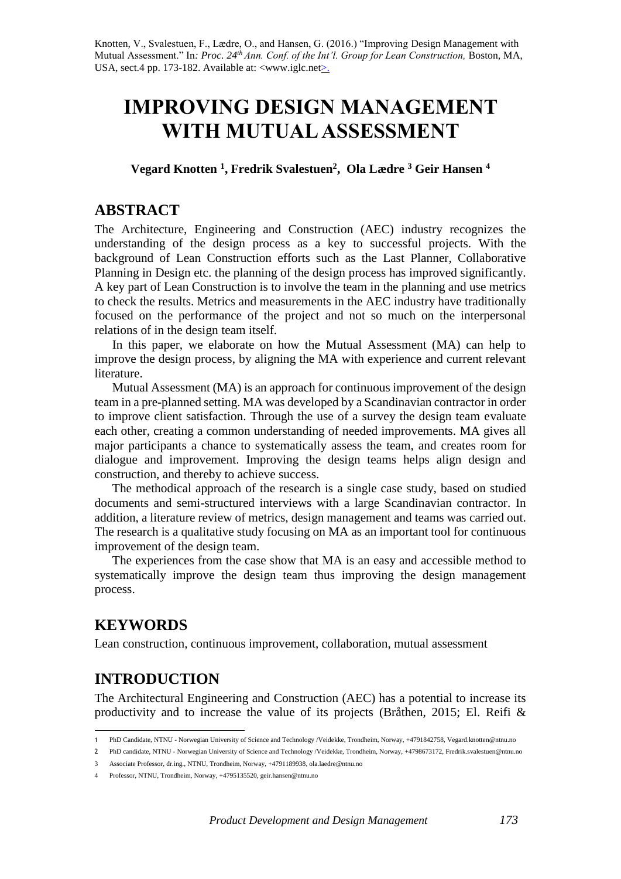Knotten, V., Svalestuen, F., Lædre, O., and Hansen, G. (2016.) "Improving Design Management with Mutual Assessment." In*: Proc. 24th Ann. Conf. of the Int'l. Group for Lean Construction,* Boston, MA, USA, sect.4 pp. 173-182. Available at: <www.iglc.net>.

# **IMPROVING DESIGN MANAGEMENT WITH MUTUAL ASSESSMENT**

**Vegard Knotten <sup>1</sup> , Fredrik Svalestuen<sup>2</sup> , Ola Lædre <sup>3</sup> Geir Hansen <sup>4</sup>**

### **ABSTRACT**

The Architecture, Engineering and Construction (AEC) industry recognizes the understanding of the design process as a key to successful projects. With the background of Lean Construction efforts such as the Last Planner, Collaborative Planning in Design etc. the planning of the design process has improved significantly. A key part of Lean Construction is to involve the team in the planning and use metrics to check the results. Metrics and measurements in the AEC industry have traditionally focused on the performance of the project and not so much on the interpersonal relations of in the design team itself.

In this paper, we elaborate on how the Mutual Assessment (MA) can help to improve the design process, by aligning the MA with experience and current relevant literature.

Mutual Assessment (MA) is an approach for continuous improvement of the design team in a pre-planned setting. MA was developed by a Scandinavian contractor in order to improve client satisfaction. Through the use of a survey the design team evaluate each other, creating a common understanding of needed improvements. MA gives all major participants a chance to systematically assess the team, and creates room for dialogue and improvement. Improving the design teams helps align design and construction, and thereby to achieve success.

The methodical approach of the research is a single case study, based on studied documents and semi-structured interviews with a large Scandinavian contractor. In addition, a literature review of metrics, design management and teams was carried out. The research is a qualitative study focusing on MA as an important tool for continuous improvement of the design team.

The experiences from the case show that MA is an easy and accessible method to systematically improve the design team thus improving the design management process.

# **KEYWORDS**

Lean construction, continuous improvement, collaboration, mutual assessment

# **INTRODUCTION**

The Architectural Engineering and Construction (AEC) has a potential to increase its productivity and to increase the value of its projects (Bråthen, 2015; El. Reifi &

 1 PhD Candidate, NTNU - Norwegian University of Science and Technology /Veidekke, Trondheim, Norway, +4791842758, Vegard.knotten@ntnu.no

<sup>2</sup> PhD candidate, NTNU - Norwegian University of Science and Technology /Veidekke, Trondheim, Norway, +4798673172, Fredrik.svalestuen@ntnu.no

<sup>3</sup> Associate Professor, dr.ing., NTNU, Trondheim, Norway, +4791189938, ola.laedre@ntnu.no

<sup>4</sup> Professor, NTNU, Trondheim, Norway, +4795135520, geir.hansen@ntnu.no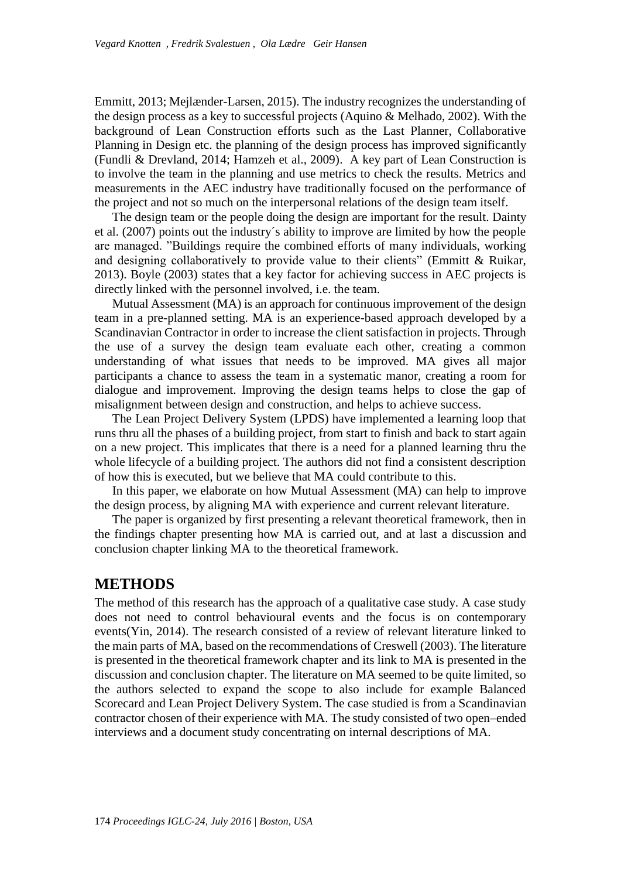Emmitt, 2013; Mejlænder-Larsen, 2015). The industry recognizes the understanding of the design process as a key to successful projects (Aquino & Melhado, 2002). With the background of Lean Construction efforts such as the Last Planner, Collaborative Planning in Design etc. the planning of the design process has improved significantly (Fundli & Drevland, 2014; Hamzeh et al., 2009). A key part of Lean Construction is to involve the team in the planning and use metrics to check the results. Metrics and measurements in the AEC industry have traditionally focused on the performance of the project and not so much on the interpersonal relations of the design team itself.

The design team or the people doing the design are important for the result. Dainty et al. (2007) points out the industry´s ability to improve are limited by how the people are managed. "Buildings require the combined efforts of many individuals, working and designing collaboratively to provide value to their clients" (Emmitt & Ruikar, 2013). Boyle (2003) states that a key factor for achieving success in AEC projects is directly linked with the personnel involved, i.e. the team.

Mutual Assessment (MA) is an approach for continuous improvement of the design team in a pre-planned setting. MA is an experience-based approach developed by a Scandinavian Contractor in order to increase the client satisfaction in projects. Through the use of a survey the design team evaluate each other, creating a common understanding of what issues that needs to be improved. MA gives all major participants a chance to assess the team in a systematic manor, creating a room for dialogue and improvement. Improving the design teams helps to close the gap of misalignment between design and construction, and helps to achieve success.

The Lean Project Delivery System (LPDS) have implemented a learning loop that runs thru all the phases of a building project, from start to finish and back to start again on a new project. This implicates that there is a need for a planned learning thru the whole lifecycle of a building project. The authors did not find a consistent description of how this is executed, but we believe that MA could contribute to this.

In this paper, we elaborate on how Mutual Assessment (MA) can help to improve the design process, by aligning MA with experience and current relevant literature.

The paper is organized by first presenting a relevant theoretical framework, then in the findings chapter presenting how MA is carried out, and at last a discussion and conclusion chapter linking MA to the theoretical framework.

# **METHODS**

The method of this research has the approach of a qualitative case study. A case study does not need to control behavioural events and the focus is on contemporary events(Yin, 2014). The research consisted of a review of relevant literature linked to the main parts of MA, based on the recommendations of Creswell (2003). The literature is presented in the theoretical framework chapter and its link to MA is presented in the discussion and conclusion chapter. The literature on MA seemed to be quite limited, so the authors selected to expand the scope to also include for example Balanced Scorecard and Lean Project Delivery System. The case studied is from a Scandinavian contractor chosen of their experience with MA. The study consisted of two open–ended interviews and a document study concentrating on internal descriptions of MA.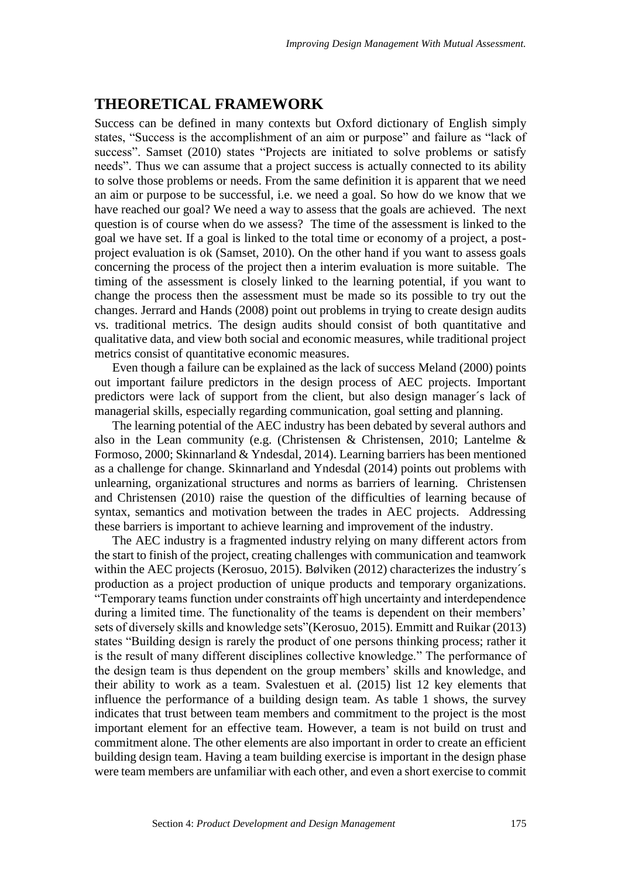# **THEORETICAL FRAMEWORK**

Success can be defined in many contexts but Oxford dictionary of English simply states, "Success is the accomplishment of an aim or purpose" and failure as "lack of success". Samset (2010) states "Projects are initiated to solve problems or satisfy needs". Thus we can assume that a project success is actually connected to its ability to solve those problems or needs. From the same definition it is apparent that we need an aim or purpose to be successful, i.e. we need a goal. So how do we know that we have reached our goal? We need a way to assess that the goals are achieved. The next question is of course when do we assess? The time of the assessment is linked to the goal we have set. If a goal is linked to the total time or economy of a project, a postproject evaluation is ok (Samset, 2010). On the other hand if you want to assess goals concerning the process of the project then a interim evaluation is more suitable. The timing of the assessment is closely linked to the learning potential, if you want to change the process then the assessment must be made so its possible to try out the changes. Jerrard and Hands (2008) point out problems in trying to create design audits vs. traditional metrics. The design audits should consist of both quantitative and qualitative data, and view both social and economic measures, while traditional project metrics consist of quantitative economic measures.

Even though a failure can be explained as the lack of success Meland (2000) points out important failure predictors in the design process of AEC projects. Important predictors were lack of support from the client, but also design manager´s lack of managerial skills, especially regarding communication, goal setting and planning.

The learning potential of the AEC industry has been debated by several authors and also in the Lean community (e.g. (Christensen & Christensen, 2010; Lantelme & Formoso, 2000; Skinnarland & Yndesdal, 2014). Learning barriers has been mentioned as a challenge for change. Skinnarland and Yndesdal (2014) points out problems with unlearning, organizational structures and norms as barriers of learning. Christensen and Christensen (2010) raise the question of the difficulties of learning because of syntax, semantics and motivation between the trades in AEC projects. Addressing these barriers is important to achieve learning and improvement of the industry.

The AEC industry is a fragmented industry relying on many different actors from the start to finish of the project, creating challenges with communication and teamwork within the AEC projects (Kerosuo, 2015). Bølviken (2012) characterizes the industry's production as a project production of unique products and temporary organizations. "Temporary teams function under constraints off high uncertainty and interdependence during a limited time. The functionality of the teams is dependent on their members' sets of diversely skills and knowledge sets"(Kerosuo, 2015). Emmitt and Ruikar (2013) states "Building design is rarely the product of one persons thinking process; rather it is the result of many different disciplines collective knowledge." The performance of the design team is thus dependent on the group members' skills and knowledge, and their ability to work as a team. Svalestuen et al. (2015) list 12 key elements that influence the performance of a building design team. As table 1 shows, the survey indicates that trust between team members and commitment to the project is the most important element for an effective team. However, a team is not build on trust and commitment alone. The other elements are also important in order to create an efficient building design team. Having a team building exercise is important in the design phase were team members are unfamiliar with each other, and even a short exercise to commit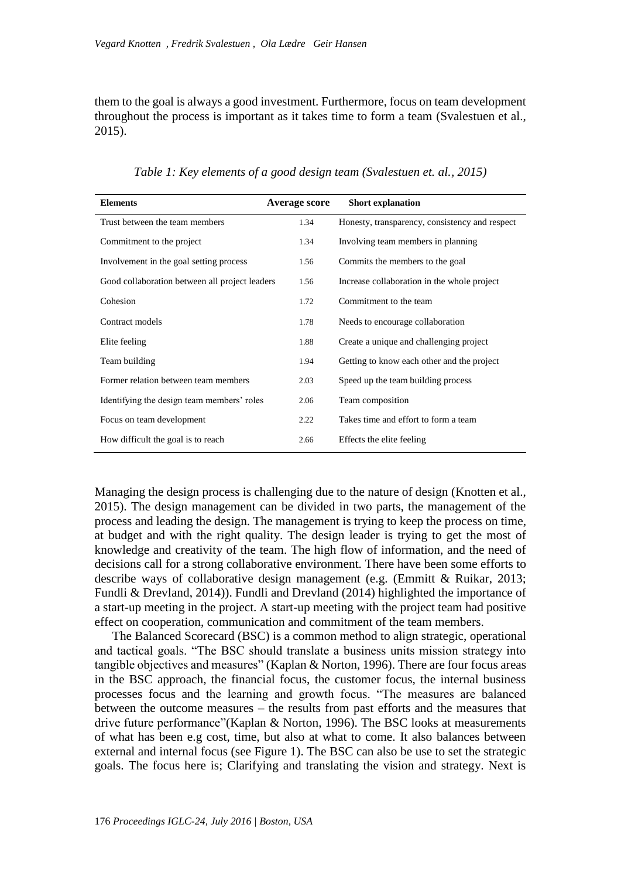them to the goal is always a good investment. Furthermore, focus on team development throughout the process is important as it takes time to form a team (Svalestuen et al., 2015).

| <b>Elements</b>                                | Average score | <b>Short explanation</b>                       |
|------------------------------------------------|---------------|------------------------------------------------|
| Trust between the team members                 | 1.34          | Honesty, transparency, consistency and respect |
| Commitment to the project                      | 1.34          | Involving team members in planning             |
| Involvement in the goal setting process        | 1.56          | Commits the members to the goal                |
| Good collaboration between all project leaders | 1.56          | Increase collaboration in the whole project    |
| Cohesion                                       | 1.72          | Commitment to the team                         |
| Contract models                                | 1.78          | Needs to encourage collaboration               |
| Elite feeling                                  | 1.88          | Create a unique and challenging project        |
| Team building                                  | 1.94          | Getting to know each other and the project     |
| Former relation between team members           | 2.03          | Speed up the team building process             |
| Identifying the design team members' roles     | 2.06          | Team composition                               |
| Focus on team development                      | 2.22          | Takes time and effort to form a team           |
| How difficult the goal is to reach             | 2.66          | Effects the elite feeling                      |

*Table 1: Key elements of a good design team (Svalestuen et. al., 2015)*

Managing the design process is challenging due to the nature of design (Knotten et al., 2015). The design management can be divided in two parts, the management of the process and leading the design. The management is trying to keep the process on time, at budget and with the right quality. The design leader is trying to get the most of knowledge and creativity of the team. The high flow of information, and the need of decisions call for a strong collaborative environment. There have been some efforts to describe ways of collaborative design management (e.g. (Emmitt & Ruikar, 2013; Fundli & Drevland, 2014)). Fundli and Drevland (2014) highlighted the importance of a start-up meeting in the project. A start-up meeting with the project team had positive effect on cooperation, communication and commitment of the team members.

The Balanced Scorecard (BSC) is a common method to align strategic, operational and tactical goals. "The BSC should translate a business units mission strategy into tangible objectives and measures" (Kaplan & Norton, 1996). There are four focus areas in the BSC approach, the financial focus, the customer focus, the internal business processes focus and the learning and growth focus. "The measures are balanced between the outcome measures – the results from past efforts and the measures that drive future performance"(Kaplan & Norton, 1996). The BSC looks at measurements of what has been e.g cost, time, but also at what to come. It also balances between external and internal focus (see Figure 1). The BSC can also be use to set the strategic goals. The focus here is; Clarifying and translating the vision and strategy. Next is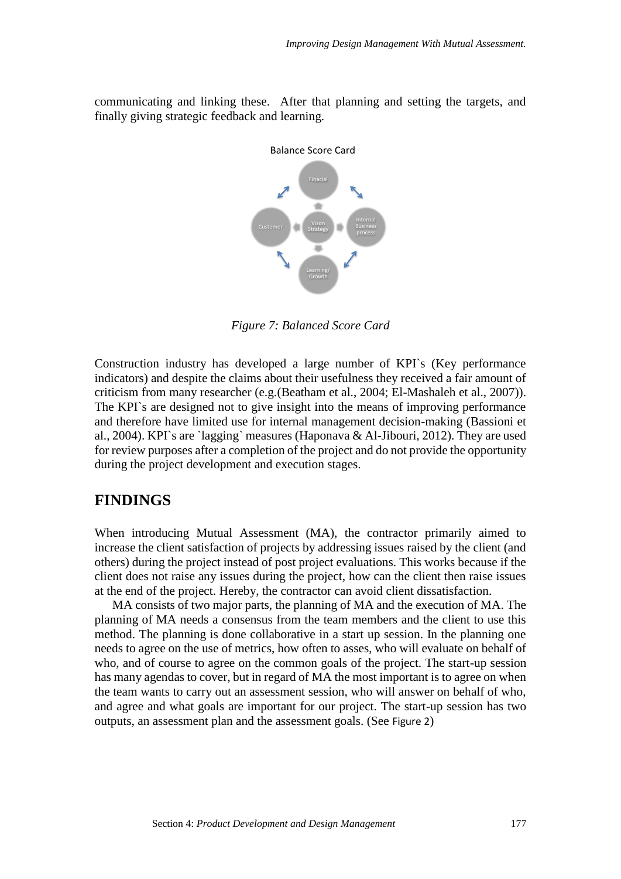communicating and linking these. After that planning and setting the targets, and finally giving strategic feedback and learning.



*Figure 7: Balanced Score Card*

Construction industry has developed a large number of KPI`s (Key performance indicators) and despite the claims about their usefulness they received a fair amount of criticism from many researcher (e.g.(Beatham et al., 2004; El-Mashaleh et al., 2007)). The KPI`s are designed not to give insight into the means of improving performance and therefore have limited use for internal management decision-making (Bassioni et al., 2004). KPI`s are `lagging` measures (Haponava & Al-Jibouri, 2012). They are used for review purposes after a completion of the project and do not provide the opportunity during the project development and execution stages.

## **FINDINGS**

When introducing Mutual Assessment (MA), the contractor primarily aimed to increase the client satisfaction of projects by addressing issues raised by the client (and others) during the project instead of post project evaluations. This works because if the client does not raise any issues during the project, how can the client then raise issues at the end of the project. Hereby, the contractor can avoid client dissatisfaction.

MA consists of two major parts, the planning of MA and the execution of MA. The planning of MA needs a consensus from the team members and the client to use this method. The planning is done collaborative in a start up session. In the planning one needs to agree on the use of metrics, how often to asses, who will evaluate on behalf of who, and of course to agree on the common goals of the project. The start-up session has many agendas to cover, but in regard of MA the most important is to agree on when the team wants to carry out an assessment session, who will answer on behalf of who, and agree and what goals are important for our project. The start-up session has two outputs, an assessment plan and the assessment goals. (See [Figure 2](#page-5-0))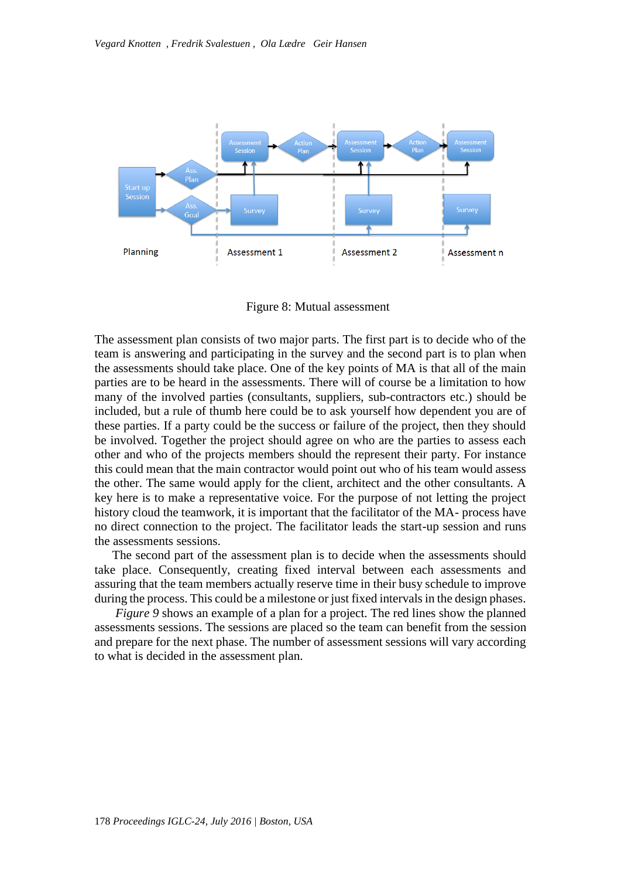

Figure 8: Mutual assessment

<span id="page-5-0"></span>The assessment plan consists of two major parts. The first part is to decide who of the team is answering and participating in the survey and the second part is to plan when the assessments should take place. One of the key points of MA is that all of the main parties are to be heard in the assessments. There will of course be a limitation to how many of the involved parties (consultants, suppliers, sub-contractors etc.) should be included, but a rule of thumb here could be to ask yourself how dependent you are of these parties. If a party could be the success or failure of the project, then they should be involved. Together the project should agree on who are the parties to assess each other and who of the projects members should the represent their party. For instance this could mean that the main contractor would point out who of his team would assess the other. The same would apply for the client, architect and the other consultants. A key here is to make a representative voice. For the purpose of not letting the project history cloud the teamwork, it is important that the facilitator of the MA- process have no direct connection to the project. The facilitator leads the start-up session and runs the assessments sessions.

The second part of the assessment plan is to decide when the assessments should take place. Consequently, creating fixed interval between each assessments and assuring that the team members actually reserve time in their busy schedule to improve during the process. This could be a milestone or just fixed intervals in the design phases.

*Figure* 9 shows an example of a plan for a project. The red lines show the planned assessments sessions. The sessions are placed so the team can benefit from the session and prepare for the next phase. The number of assessment sessions will vary according to what is decided in the assessment plan.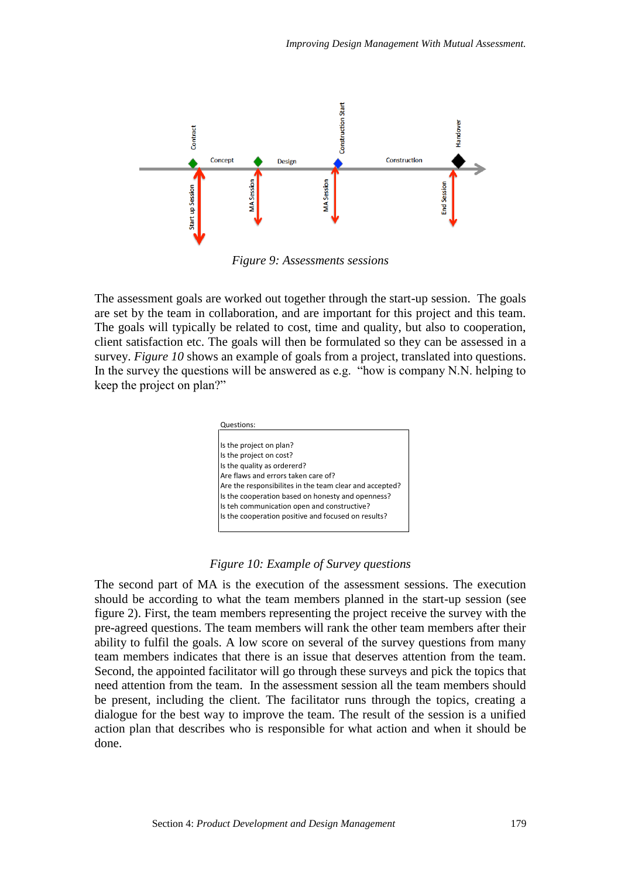

*Figure 9: Assessments sessions*

<span id="page-6-0"></span>The assessment goals are worked out together through the start-up session. The goals are set by the team in collaboration, and are important for this project and this team. The goals will typically be related to cost, time and quality, but also to cooperation, client satisfaction etc. The goals will then be formulated so they can be assessed in a survey. *[Figure 10](#page-6-1)* shows an example of goals from a project, translated into questions. In the survey the questions will be answered as e.g. "how is company N.N. helping to keep the project on plan?"



#### *Figure 10: Example of Survey questions*

<span id="page-6-1"></span>The second part of MA is the execution of the assessment sessions. The execution should be according to what the team members planned in the start-up session (see figure 2). First, the team members representing the project receive the survey with the pre-agreed questions. The team members will rank the other team members after their ability to fulfil the goals. A low score on several of the survey questions from many team members indicates that there is an issue that deserves attention from the team. Second, the appointed facilitator will go through these surveys and pick the topics that need attention from the team. In the assessment session all the team members should be present, including the client. The facilitator runs through the topics, creating a dialogue for the best way to improve the team. The result of the session is a unified action plan that describes who is responsible for what action and when it should be done.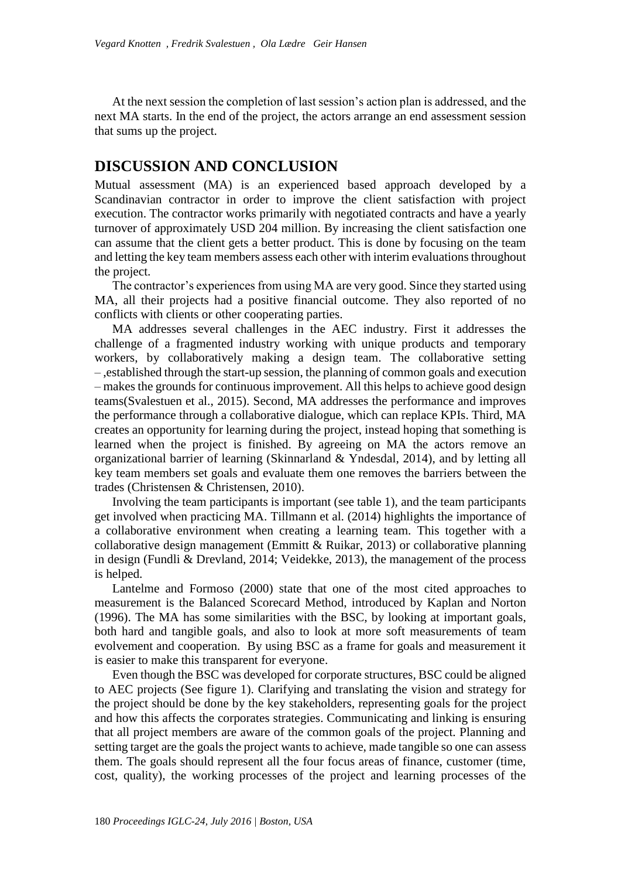At the next session the completion of last session's action plan is addressed, and the next MA starts. In the end of the project, the actors arrange an end assessment session that sums up the project.

# **DISCUSSION AND CONCLUSION**

Mutual assessment (MA) is an experienced based approach developed by a Scandinavian contractor in order to improve the client satisfaction with project execution. The contractor works primarily with negotiated contracts and have a yearly turnover of approximately USD 204 million. By increasing the client satisfaction one can assume that the client gets a better product. This is done by focusing on the team and letting the key team members assess each other with interim evaluations throughout the project.

The contractor's experiences from using MA are very good. Since they started using MA, all their projects had a positive financial outcome. They also reported of no conflicts with clients or other cooperating parties.

MA addresses several challenges in the AEC industry. First it addresses the challenge of a fragmented industry working with unique products and temporary workers, by collaboratively making a design team. The collaborative setting – ,established through the start-up session, the planning of common goals and execution – makes the grounds for continuous improvement. All this helps to achieve good design teams(Svalestuen et al., 2015). Second, MA addresses the performance and improves the performance through a collaborative dialogue, which can replace KPIs. Third, MA creates an opportunity for learning during the project, instead hoping that something is learned when the project is finished. By agreeing on MA the actors remove an organizational barrier of learning (Skinnarland & Yndesdal, 2014), and by letting all key team members set goals and evaluate them one removes the barriers between the trades (Christensen & Christensen, 2010).

Involving the team participants is important (see table 1), and the team participants get involved when practicing MA. Tillmann et al. (2014) highlights the importance of a collaborative environment when creating a learning team. This together with a collaborative design management (Emmitt & Ruikar, 2013) or collaborative planning in design (Fundli & Drevland, 2014; Veidekke, 2013), the management of the process is helped.

Lantelme and Formoso (2000) state that one of the most cited approaches to measurement is the Balanced Scorecard Method, introduced by Kaplan and Norton (1996). The MA has some similarities with the BSC, by looking at important goals, both hard and tangible goals, and also to look at more soft measurements of team evolvement and cooperation. By using BSC as a frame for goals and measurement it is easier to make this transparent for everyone.

Even though the BSC was developed for corporate structures, BSC could be aligned to AEC projects (See figure 1). Clarifying and translating the vision and strategy for the project should be done by the key stakeholders, representing goals for the project and how this affects the corporates strategies. Communicating and linking is ensuring that all project members are aware of the common goals of the project. Planning and setting target are the goals the project wants to achieve, made tangible so one can assess them. The goals should represent all the four focus areas of finance, customer (time, cost, quality), the working processes of the project and learning processes of the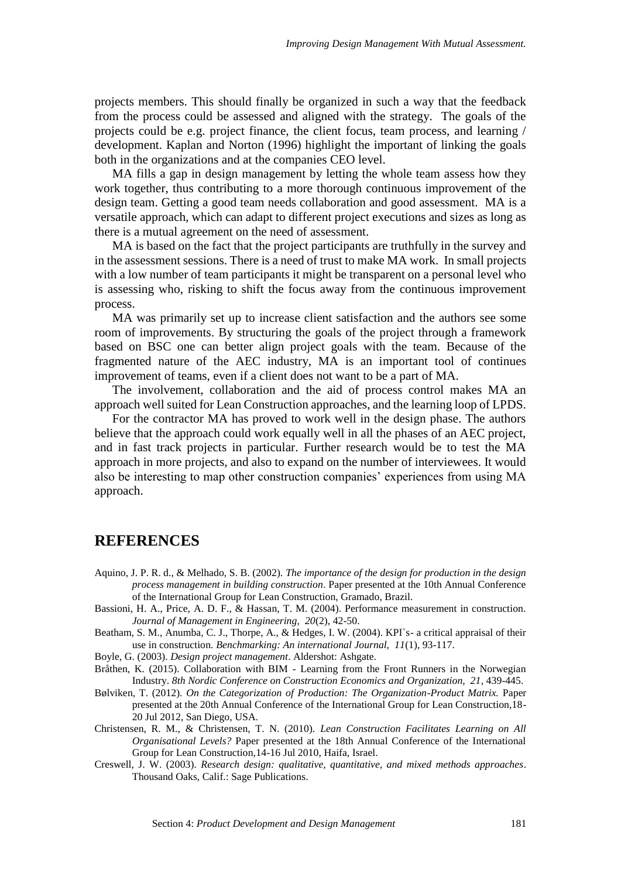projects members. This should finally be organized in such a way that the feedback from the process could be assessed and aligned with the strategy. The goals of the projects could be e.g. project finance, the client focus, team process, and learning / development. Kaplan and Norton (1996) highlight the important of linking the goals both in the organizations and at the companies CEO level.

MA fills a gap in design management by letting the whole team assess how they work together, thus contributing to a more thorough continuous improvement of the design team. Getting a good team needs collaboration and good assessment. MA is a versatile approach, which can adapt to different project executions and sizes as long as there is a mutual agreement on the need of assessment.

MA is based on the fact that the project participants are truthfully in the survey and in the assessment sessions. There is a need of trust to make MA work. In small projects with a low number of team participants it might be transparent on a personal level who is assessing who, risking to shift the focus away from the continuous improvement process.

MA was primarily set up to increase client satisfaction and the authors see some room of improvements. By structuring the goals of the project through a framework based on BSC one can better align project goals with the team. Because of the fragmented nature of the AEC industry, MA is an important tool of continues improvement of teams, even if a client does not want to be a part of MA.

The involvement, collaboration and the aid of process control makes MA an approach well suited for Lean Construction approaches, and the learning loop of LPDS.

For the contractor MA has proved to work well in the design phase. The authors believe that the approach could work equally well in all the phases of an AEC project, and in fast track projects in particular. Further research would be to test the MA approach in more projects, and also to expand on the number of interviewees. It would also be interesting to map other construction companies' experiences from using MA approach.

# **REFERENCES**

- Aquino, J. P. R. d., & Melhado, S. B. (2002). *The importance of the design for production in the design process management in building construction*. Paper presented at the 10th Annual Conference of the International Group for Lean Construction, Gramado, Brazil.
- Bassioni, H. A., Price, A. D. F., & Hassan, T. M. (2004). Performance measurement in construction. *Journal of Management in Engineering, 20*(2), 42-50.
- Beatham, S. M., Anumba, C. J., Thorpe, A., & Hedges, I. W. (2004). KPI`s- a critical appraisal of their use in construction. *Benchmarking: An international Journal, 11*(1), 93-117.

Boyle, G. (2003). *Design project management*. Aldershot: Ashgate.

- Bråthen, K. (2015). Collaboration with BIM Learning from the Front Runners in the Norwegian Industry. *8th Nordic Conference on Construction Economics and Organization, 21*, 439-445.
- Bølviken, T. (2012). *On the Categorization of Production: The Organization-Product Matrix.* Paper presented at the 20th Annual Conference of the International Group for Lean Construction,18- 20 Jul 2012, San Diego, USA.
- Christensen, R. M., & Christensen, T. N. (2010). *Lean Construction Facilitates Learning on All Organisational Levels?* Paper presented at the 18th Annual Conference of the International Group for Lean Construction,14-16 Jul 2010, Haifa, Israel.
- Creswell, J. W. (2003). *Research design: qualitative, quantitative, and mixed methods approaches*. Thousand Oaks, Calif.: Sage Publications.